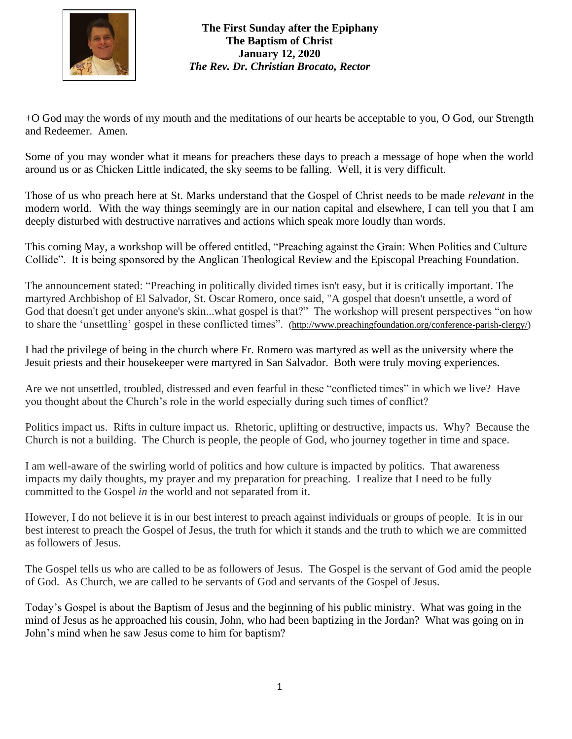

## **The First Sunday after the Epiphany The Baptism of Christ January 12, 2020** *The Rev. Dr. Christian Brocato, Rector*

+O God may the words of my mouth and the meditations of our hearts be acceptable to you, O God, our Strength and Redeemer. Amen.

Some of you may wonder what it means for preachers these days to preach a message of hope when the world around us or as Chicken Little indicated, the sky seems to be falling. Well, it is very difficult.

Those of us who preach here at St. Marks understand that the Gospel of Christ needs to be made *relevant* in the modern world. With the way things seemingly are in our nation capital and elsewhere, I can tell you that I am deeply disturbed with destructive narratives and actions which speak more loudly than words.

This coming May, a workshop will be offered entitled, "Preaching against the Grain: When Politics and Culture Collide". It is being sponsored by the Anglican Theological Review and the Episcopal Preaching Foundation.

The announcement stated: "Preaching in politically divided times isn't easy, but it is critically important. The martyred Archbishop of El Salvador, St. Oscar Romero, once said, "A gospel that doesn't unsettle, a word of God that doesn't get under anyone's skin...what gospel is that?" The workshop will present perspectives "on how to share the 'unsettling' gospel in these conflicted times". [\(http://www.preachingfoundation.org/conference-parish-clergy/\)](http://www.preachingfoundation.org/conference-parish-clergy/)

I had the privilege of being in the church where Fr. Romero was martyred as well as the university where the Jesuit priests and their housekeeper were martyred in San Salvador. Both were truly moving experiences.

Are we not unsettled, troubled, distressed and even fearful in these "conflicted times" in which we live? Have you thought about the Church's role in the world especially during such times of conflict?

Politics impact us. Rifts in culture impact us. Rhetoric, uplifting or destructive, impacts us. Why? Because the Church is not a building. The Church is people, the people of God, who journey together in time and space.

I am well-aware of the swirling world of politics and how culture is impacted by politics. That awareness impacts my daily thoughts, my prayer and my preparation for preaching. I realize that I need to be fully committed to the Gospel *in* the world and not separated from it.

However, I do not believe it is in our best interest to preach against individuals or groups of people. It is in our best interest to preach the Gospel of Jesus, the truth for which it stands and the truth to which we are committed as followers of Jesus.

The Gospel tells us who are called to be as followers of Jesus. The Gospel is the servant of God amid the people of God. As Church, we are called to be servants of God and servants of the Gospel of Jesus.

Today's Gospel is about the Baptism of Jesus and the beginning of his public ministry. What was going in the mind of Jesus as he approached his cousin, John, who had been baptizing in the Jordan? What was going on in John's mind when he saw Jesus come to him for baptism?